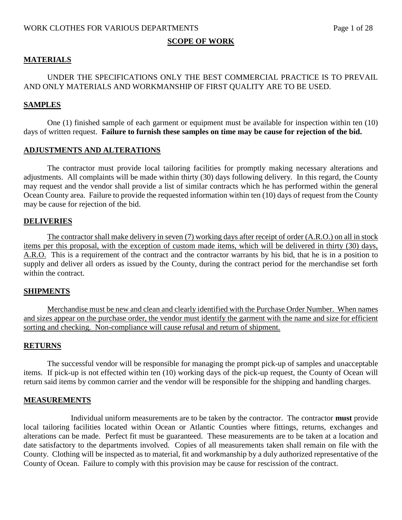#### **SCOPE OF WORK**

#### **MATERIALS**

#### UNDER THE SPECIFICATIONS ONLY THE BEST COMMERCIAL PRACTICE IS TO PREVAIL AND ONLY MATERIALS AND WORKMANSHIP OF FIRST QUALITY ARE TO BE USED.

#### **SAMPLES**

One (1) finished sample of each garment or equipment must be available for inspection within ten (10) days of written request. **Failure to furnish these samples on time may be cause for rejection of the bid.**

#### **ADJUSTMENTS AND ALTERATIONS**

The contractor must provide local tailoring facilities for promptly making necessary alterations and adjustments. All complaints will be made within thirty (30) days following delivery. In this regard, the County may request and the vendor shall provide a list of similar contracts which he has performed within the general Ocean County area. Failure to provide the requested information within ten (10) days of request from the County may be cause for rejection of the bid.

#### **DELIVERIES**

The contractor shall make delivery in seven (7) working days after receipt of order (A.R.O.) on all in stock items per this proposal, with the exception of custom made items, which will be delivered in thirty (30) days, A.R.O. This is a requirement of the contract and the contractor warrants by his bid, that he is in a position to supply and deliver all orders as issued by the County, during the contract period for the merchandise set forth within the contract.

#### **SHIPMENTS**

Merchandise must be new and clean and clearly identified with the Purchase Order Number. When names and sizes appear on the purchase order, the vendor must identify the garment with the name and size for efficient sorting and checking. Non-compliance will cause refusal and return of shipment.

#### **RETURNS**

The successful vendor will be responsible for managing the prompt pick-up of samples and unacceptable items. If pick-up is not effected within ten (10) working days of the pick-up request, the County of Ocean will return said items by common carrier and the vendor will be responsible for the shipping and handling charges.

#### **MEASUREMENTS**

Individual uniform measurements are to be taken by the contractor. The contractor **must** provide local tailoring facilities located within Ocean or Atlantic Counties where fittings, returns, exchanges and alterations can be made. Perfect fit must be guaranteed. These measurements are to be taken at a location and date satisfactory to the departments involved. Copies of all measurements taken shall remain on file with the County. Clothing will be inspected as to material, fit and workmanship by a duly authorized representative of the County of Ocean. Failure to comply with this provision may be cause for rescission of the contract.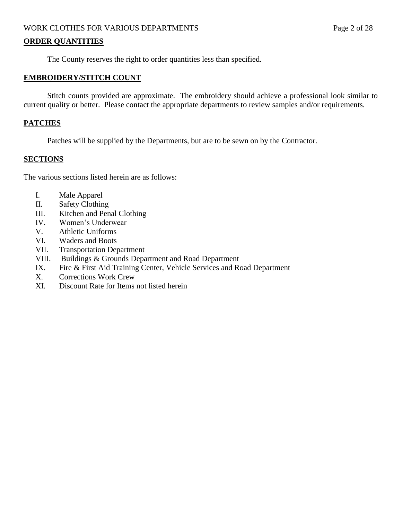## WORK CLOTHES FOR VARIOUS DEPARTMENTS Page 2 of 28

#### **ORDER QUANTITIES**

The County reserves the right to order quantities less than specified.

#### **EMBROIDERY/STITCH COUNT**

Stitch counts provided are approximate. The embroidery should achieve a professional look similar to current quality or better. Please contact the appropriate departments to review samples and/or requirements.

#### **PATCHES**

Patches will be supplied by the Departments, but are to be sewn on by the Contractor.

#### **SECTIONS**

The various sections listed herein are as follows:

- I. Male Apparel
- II. Safety Clothing
- III. Kitchen and Penal Clothing
- IV. Women's Underwear
- V. Athletic Uniforms
- VI. Waders and Boots
- VII. Transportation Department
- VIII. Buildings & Grounds Department and Road Department
- IX. Fire & First Aid Training Center, Vehicle Services and Road Department
- X. Corrections Work Crew
- XI. Discount Rate for Items not listed herein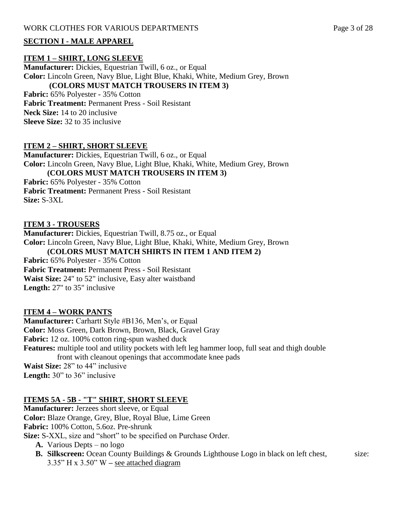#### **SECTION I - MALE APPAREL**

#### **ITEM 1 – SHIRT, LONG SLEEVE**

**Manufacturer:** Dickies, Equestrian Twill, 6 oz., or Equal **Color:** Lincoln Green, Navy Blue, Light Blue, Khaki, White, Medium Grey, Brown **(COLORS MUST MATCH TROUSERS IN ITEM 3)**

**Fabric:** 65% Polyester - 35% Cotton **Fabric Treatment:** Permanent Press - Soil Resistant **Neck Size:** 14 to 20 inclusive **Sleeve Size:** 32 to 35 inclusive

## **ITEM 2 – SHIRT, SHORT SLEEVE**

**Manufacturer:** Dickies, Equestrian Twill, 6 oz., or Equal **Color:** Lincoln Green, Navy Blue, Light Blue, Khaki, White, Medium Grey, Brown **(COLORS MUST MATCH TROUSERS IN ITEM 3)**

**Fabric:** 65% Polyester - 35% Cotton **Fabric Treatment:** Permanent Press - Soil Resistant **Size:** S-3XL

#### **ITEM 3 - TROUSERS**

**Manufacturer:** Dickies, Equestrian Twill, 8.75 oz., or Equal **Color:** Lincoln Green, Navy Blue, Light Blue, Khaki, White, Medium Grey, Brown **(COLORS MUST MATCH SHIRTS IN ITEM 1 AND ITEM 2) Fabric:** 65% Polyester - 35% Cotton **Fabric Treatment:** Permanent Press - Soil Resistant **Waist Size:** 24" to 52" inclusive, Easy alter waistband **Length:** 27" to 35" inclusive

#### **ITEM 4 – WORK PANTS**

**Manufacturer:** Carhartt Style #B136, Men's, or Equal **Color:** Moss Green, Dark Brown, Brown, Black, Gravel Gray **Fabric:** 12 oz. 100% cotton ring-spun washed duck **Features:** multiple tool and utility pockets with left leg hammer loop, full seat and thigh double front with cleanout openings that accommodate knee pads **Waist Size:** 28" to 44" inclusive Length: 30" to 36" inclusive

#### **ITEMS 5A - 5B - "T" SHIRT, SHORT SLEEVE**

**Manufacturer:** Jerzees short sleeve, or Equal **Color:** Blaze Orange, Grey, Blue, Royal Blue, Lime Green **Fabric:** 100% Cotton, 5.6oz. Pre-shrunk **Size:** S-XXL, size and "short" to be specified on Purchase Order.

- **A.** Various Depts no logo
- **B.** Silkscreen: Ocean County Buildings & Grounds Lighthouse Logo in black on left chest, size: 3.35" H x 3.50" W **–** see attached diagram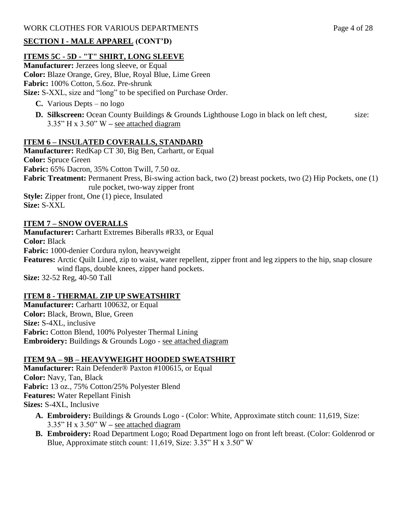# **SECTION I - MALE APPAREL (CONT'D)**

# **ITEMS 5C - 5D - "T" SHIRT, LONG SLEEVE**

**Manufacturer:** Jerzees long sleeve, or Equal **Color:** Blaze Orange, Grey, Blue, Royal Blue, Lime Green **Fabric:** 100% Cotton, 5.6oz. Pre-shrunk **Size:** S-XXL, size and "long" to be specified on Purchase Order.

- **C.** Various Depts no logo
- **D.** Silkscreen: Ocean County Buildings & Grounds Lighthouse Logo in black on left chest, size: 3.35" H x 3.50" W **–** see attached diagram

# **ITEM 6 – INSULATED COVERALLS, STANDARD**

**Manufacturer:** RedKap CT 30, Big Ben, Carhartt, or Equal **Color:** Spruce Green **Fabric:** 65% Dacron, 35% Cotton Twill, 7.50 oz. **Fabric Treatment:** Permanent Press, Bi-swing action back, two (2) breast pockets, two (2) Hip Pockets, one (1) rule pocket, two-way zipper front **Style:** Zipper front, One (1) piece, Insulated **Size:** S-XXL

## **ITEM 7 – SNOW OVERALLS**

**Manufacturer:** Carhartt Extremes Biberalls #R33, or Equal **Color:** Black **Fabric:** 1000-denier Cordura nylon, heavyweight **Features:** Arctic Quilt Lined, zip to waist, water repellent, zipper front and leg zippers to the hip, snap closure wind flaps, double knees, zipper hand pockets. **Size:** 32-52 Reg, 40-50 Tall

## **ITEM 8 - THERMAL ZIP UP SWEATSHIRT**

**Manufacturer:** Carhartt 100632, or Equal **Color:** Black, Brown, Blue, Green **Size:** S-4XL, inclusive **Fabric:** Cotton Blend, 100% Polyester Thermal Lining **Embroidery:** Buildings & Grounds Logo - see attached diagram

## **ITEM 9A – 9B – HEAVYWEIGHT HOODED SWEATSHIRT**

**Manufacturer:** Rain Defender® Paxton #100615, or Equal **Color:** Navy, Tan, Black **Fabric:** 13 oz., 75% Cotton/25% Polyester Blend **Features:** Water Repellant Finish **Sizes:** S-4XL, Inclusive

- **A. Embroidery:** Buildings & Grounds Logo (Color: White, Approximate stitch count: 11,619, Size: 3.35" H x 3.50" W **–** see attached diagram
- **B. Embroidery:** Road Department Logo; Road Department logo on front left breast. (Color: Goldenrod or Blue, Approximate stitch count: 11,619, Size: 3.35" H x 3.50" W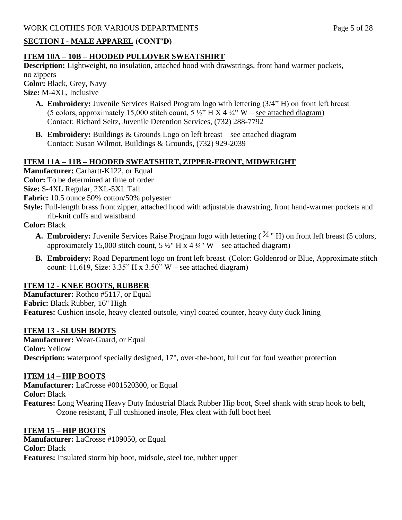# **SECTION I - MALE APPAREL (CONT'D)**

# **ITEM 10A – 10B – HOODED PULLOVER SWEATSHIRT**

**Description:** Lightweight, no insulation, attached hood with drawstrings, front hand warmer pockets, no zippers **Color:** Black, Grey, Navy

**Size:** M-4XL, Inclusive

- **A. Embroidery:** Juvenile Services Raised Program logo with lettering (3/4" H) on front left breast (5 colors, approximately 15,000 stitch count,  $5\frac{1}{2}$ " H X 4  $\frac{1}{4}$ " W – see attached diagram) Contact: Richard Seitz, Juvenile Detention Services, (732) 288-7792
- **B. Embroidery:** Buildings & Grounds Logo on left breast see attached diagram Contact: Susan Wilmot, Buildings & Grounds, (732) 929-2039

# **ITEM 11A – 11B – HOODED SWEATSHIRT, ZIPPER-FRONT, MIDWEIGHT**

**Manufacturer:** Carhartt-K122, or Equal **Color:** To be determined at time of order **Size:** S-4XL Regular, 2XL-5XL Tall **Fabric:** 10.5 ounce 50% cotton/50% polyester

**Style:** Full-length brass front zipper, attached hood with adjustable drawstring, front hand-warmer pockets and rib-knit cuffs and waistband

**Color:** Black

- **A. Embroidery:** Juvenile Services Raise Program logo with lettering  $(\frac{3}{4}$  " H) on front left breast (5 colors, approximately 15,000 stitch count,  $5\frac{1}{2}$ " H x 4  $\frac{1}{4}$ " W – see attached diagram)
- **B. Embroidery:** Road Department logo on front left breast. (Color: Goldenrod or Blue, Approximate stitch count: 11,619, Size:  $3.35$ " H x  $3.50$ " W – see attached diagram)

# **ITEM 12 - KNEE BOOTS, RUBBER**

**Manufacturer:** Rothco #5117, or Equal **Fabric:** Black Rubber, 16" High Features: Cushion insole, heavy cleated outsole, vinyl coated counter, heavy duty duck lining

## **ITEM 13 - SLUSH BOOTS**

**Manufacturer:** Wear-Guard, or Equal **Color:** Yellow **Description:** waterproof specially designed, 17", over-the-boot, full cut for foul weather protection

## **ITEM 14 – HIP BOOTS**

**Manufacturer:** LaCrosse #001520300, or Equal **Color:** Black **Features:** Long Wearing Heavy Duty Industrial Black Rubber Hip boot, Steel shank with strap hook to belt, Ozone resistant, Full cushioned insole, Flex cleat with full boot heel

# **ITEM 15 – HIP BOOTS**

**Manufacturer:** LaCrosse #109050, or Equal **Color:** Black **Features:** Insulated storm hip boot, midsole, steel toe, rubber upper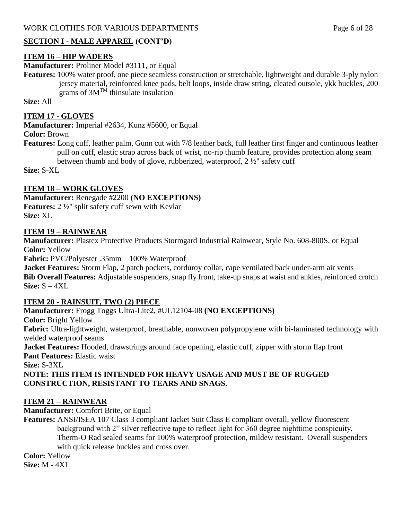## **SECTION I - MALE APPAREL (CONT'D)**

## **ITEM 16 – HIP WADERS**

**Manufacturer:** Proliner Model #3111, or Equal

**Features:** 100% water proof, one piece seamless construction or stretchable, lightweight and durable 3-ply nylon jersey material, reinforced knee pads, belt loops, inside draw string, cleated outsole, ykk buckles, 200 grams of  $3M^{TM}$  thinsulate insulation

**Size:** All

#### **ITEM 17 - GLOVES**

**Manufacturer:** Imperial #2634, Kunz #5600, or Equal

**Color:** Brown

**Features:** Long cuff, leather palm, Gunn cut with 7/8 leather back, full leather first finger and continuous leather pull on cuff, elastic strap across back of wrist, no-rip thumb feature, provides protection along seam between thumb and body of glove, rubberized, waterproof, 2 ½" safety cuff

**Size:** S-XL

## **ITEM 18 – WORK GLOVES**

**Manufacturer:** Renegade #2200 **(NO EXCEPTIONS) Features:** 2 ½" split safety cuff sewn with Kevlar **Size:** XL

#### **ITEM 19 – RAINWEAR**

**Manufacturer:** Plastex Protective Products Stormgard Industrial Rainwear, Style No. 608-800S, or Equal **Color:** Yellow

**Fabric:** PVC/Polyester .35mm – 100% Waterproof

**Jacket Features:** Storm Flap, 2 patch pockets, corduroy collar, cape ventilated back under-arm air vents **Bib Overall Features:** Adjustable suspenders, snap fly front, take-up snaps at waist and ankles, reinforced crotch **Size:** S – 4XL

#### **ITEM 20 - RAINSUIT, TWO (2) PIECE**

**Manufacturer:** Frogg Toggs Ultra-Lite2, #UL12104-08 **(NO EXCEPTIONS) Color:** Bright Yellow **Fabric:** Ultra-lightweight, waterproof, breathable, nonwoven polypropylene with bi-laminated technology with welded waterproof seams **Jacket Features:** Hooded, drawstrings around face opening, elastic cuff, zipper with storm flap front **Pant Features:** Elastic waist **Size:** S-3XL **NOTE: THIS ITEM IS INTENDED FOR HEAVY USAGE AND MUST BE OF RUGGED CONSTRUCTION, RESISTANT TO TEARS AND SNAGS.**

#### **ITEM 21 – RAINWEAR**

**Manufacturer:** Comfort Brite, or Equal

**Features:** ANSI/ISEA 107 Class 3 compliant Jacket Suit Class E compliant overall, yellow fluorescent background with 2" silver reflective tape to reflect light for 360 degree nighttime conspicuity, Therm-O Rad sealed seams for 100% waterproof protection, mildew resistant. Overall suspenders with quick release buckles and cross over.

**Color:** Yellow **Size:** M - 4XL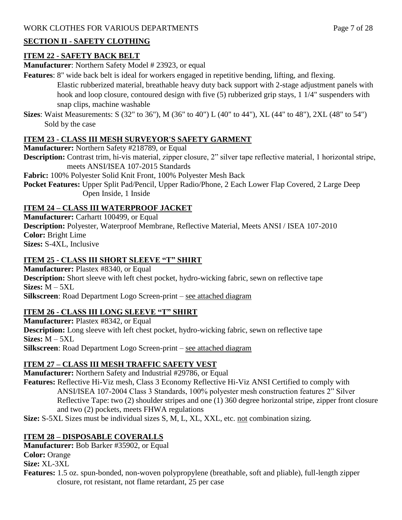# **SECTION II - SAFETY CLOTHING**

# **ITEM 22 - SAFETY BACK BELT**

**Manufacturer:** Northern Safety Model # 23923, or equal

- **Features**: 8" wide back belt is ideal for workers engaged in repetitive bending, lifting, and flexing. Elastic rubberized material, breathable heavy duty back support with 2-stage adjustment panels with hook and loop closure, contoured design with five (5) rubberized grip stays, 1 1/4" suspenders with snap clips, machine washable
- **Sizes**: Waist Measurements: S (32" to 36"), M (36" to 40") L (40" to 44"), XL (44" to 48"), 2XL (48" to 54") Sold by the case

# **ITEM 23 - CLASS III MESH SURVEYOR'S SAFETY GARMENT**

**Manufacturer:** Northern Safety #218789, or Equal

**Description:** Contrast trim, hi-vis material, zipper closure, 2" silver tape reflective material, 1 horizontal stripe, meets ANSI/ISEA 107-2015 Standards

**Fabric:** 100% Polyester Solid Knit Front, 100% Polyester Mesh Back

**Pocket Features:** Upper Split Pad/Pencil, Upper Radio/Phone, 2 Each Lower Flap Covered, 2 Large Deep Open Inside, 1 Inside

# **ITEM 24 – CLASS III WATERPROOF JACKET**

**Manufacturer:** Carhartt 100499, or Equal **Description:** Polyester, Waterproof Membrane, Reflective Material, Meets ANSI / ISEA 107-2010 **Color:** Bright Lime **Sizes:** S-4XL, Inclusive

# **ITEM 25 - CLASS III SHORT SLEEVE "T" SHIRT**

**Manufacturer:** Plastex #8340, or Equal **Description:** Short sleeve with left chest pocket, hydro-wicking fabric, sewn on reflective tape **Sizes:** M – 5XL **Silkscreen**: Road Department Logo Screen-print – see attached diagram

# **ITEM 26 - CLASS III LONG SLEEVE "T" SHIRT**

**Manufacturer:** Plastex #8342, or Equal **Description:** Long sleeve with left chest pocket, hydro-wicking fabric, sewn on reflective tape **Sizes:** M – 5XL **Silkscreen**: Road Department Logo Screen-print – see attached diagram

# **ITEM 27 – CLASS III MESH TRAFFIC SAFETY VEST**

**Manufacturer:** Northern Safety and Industrial #29786, or Equal **Features:** Reflective Hi-Viz mesh, Class 3 Economy Reflective Hi-Viz ANSI Certified to comply with ANSI/ISEA 107-2004 Class 3 Standards, 100% polyester mesh construction features 2" Silver Reflective Tape: two (2) shoulder stripes and one (1) 360 degree horizontal stripe, zipper front closure and two (2) pockets, meets FHWA regulations **Size:** S-5XL Sizes must be individual sizes S, M, L, XL, XXL, etc. not combination sizing.

# **ITEM 28 – DISPOSABLE COVERALLS**

**Manufacturer:** Bob Barker #35902, or Equal

**Color:** Orange **Size:** XL-3XL

**Features:** 1.5 oz. spun-bonded, non-woven polypropylene (breathable, soft and pliable), full-length zipper closure, rot resistant, not flame retardant, 25 per case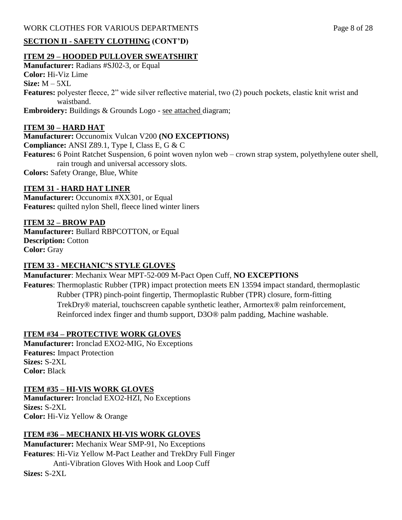## WORK CLOTHES FOR VARIOUS DEPARTMENTS Page 8 of 28

## **SECTION II - SAFETY CLOTHING (CONT'D)**

## **ITEM 29 – HOODED PULLOVER SWEATSHIRT**

**Manufacturer:** Radians #SJ02-3, or Equal **Color:** Hi-Viz Lime **Size:** M – 5XL **Features:** polyester fleece, 2" wide silver reflective material, two (2) pouch pockets, elastic knit wrist and waistband. **Embroidery:** Buildings & Grounds Logo - see attached diagram;

#### **ITEM 30 – HARD HAT**

**Manufacturer:** Occunomix Vulcan V200 **(NO EXCEPTIONS) Compliance:** ANSI Z89.1, Type I, Class E, G & C **Features:** 6 Point Ratchet Suspension, 6 point woven nylon web – crown strap system, polyethylene outer shell, rain trough and universal accessory slots. **Colors:** Safety Orange, Blue, White

#### **ITEM 31 - HARD HAT LINER**

**Manufacturer:** Occunomix #XX301, or Equal **Features:** quilted nylon Shell, fleece lined winter liners

#### **ITEM 32 – BROW PAD**

**Manufacturer:** Bullard RBPCOTTON, or Equal **Description:** Cotton **Color:** Gray

#### **ITEM 33 - MECHANIC'S STYLE GLOVES**

**Manufacturer**: Mechanix Wear MPT-52-009 M-Pact Open Cuff, **NO EXCEPTIONS**

**Features**: Thermoplastic Rubber (TPR) impact protection meets EN 13594 impact standard, thermoplastic Rubber (TPR) pinch-point fingertip, Thermoplastic Rubber (TPR) closure, form-fitting TrekDry® material, touchscreen capable synthetic leather, Armortex® palm reinforcement, Reinforced index finger and thumb support, D3O® palm padding, Machine washable.

#### **ITEM #34 – PROTECTIVE WORK GLOVES**

**Manufacturer:** Ironclad EXO2-MIG, No Exceptions **Features:** Impact Protection **Sizes:** S-2XL **Color:** Black

#### **ITEM #35 – HI-VIS WORK GLOVES**

**Manufacturer:** Ironclad EXO2-HZI, No Exceptions **Sizes:** S-2XL **Color:** Hi-Viz Yellow & Orange

## **ITEM #36 – MECHANIX HI-VIS WORK GLOVES**

**Manufacturer:** Mechanix Wear SMP-91, No Exceptions **Features**: Hi-Viz Yellow M-Pact Leather and TrekDry Full Finger Anti-Vibration Gloves With Hook and Loop Cuff **Sizes:** S-2XL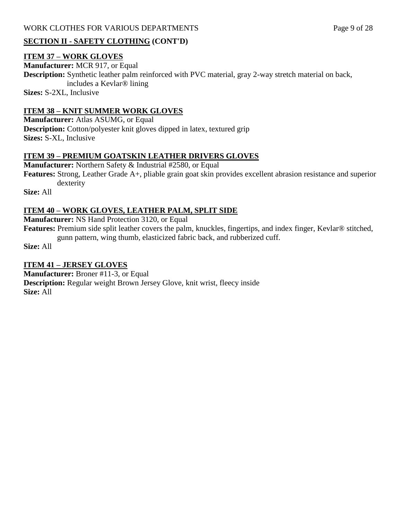## **SECTION II - SAFETY CLOTHING (CONT'D)**

#### **ITEM 37 – WORK GLOVES**

**Manufacturer:** MCR 917, or Equal **Description:** Synthetic leather palm reinforced with PVC material, gray 2-way stretch material on back, includes a Kevlar® lining **Sizes:** S-2XL, Inclusive

## **ITEM 38 – KNIT SUMMER WORK GLOVES**

**Manufacturer:** Atlas ASUMG, or Equal **Description:** Cotton/polyester knit gloves dipped in latex, textured grip **Sizes:** S-XL, Inclusive

## **ITEM 39 – PREMIUM GOATSKIN LEATHER DRIVERS GLOVES**

**Manufacturer:** Northern Safety & Industrial #2580, or Equal **Features:** Strong, Leather Grade A+, pliable grain goat skin provides excellent abrasion resistance and superior dexterity

**Size:** All

## **ITEM 40 – WORK GLOVES, LEATHER PALM, SPLIT SIDE**

**Manufacturer:** NS Hand Protection 3120, or Equal

**Features:** Premium side split leather covers the palm, knuckles, fingertips, and index finger, Kevlar® stitched, gunn pattern, wing thumb, elasticized fabric back, and rubberized cuff.

**Size:** All

## **ITEM 41 – JERSEY GLOVES**

**Manufacturer:** Broner #11-3, or Equal **Description:** Regular weight Brown Jersey Glove, knit wrist, fleecy inside **Size:** All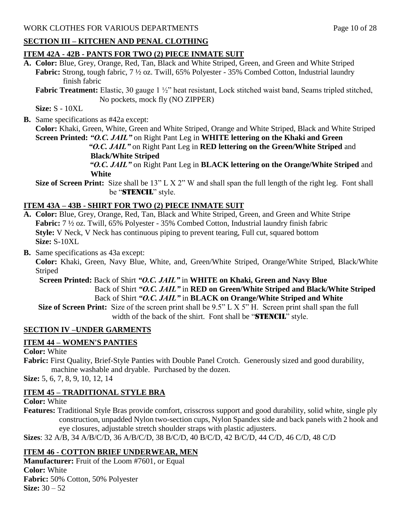# **SECTION III – KITCHEN AND PENAL CLOTHING**

# **ITEM 42A - 42B - PANTS FOR TWO (2) PIECE INMATE SUIT**

**A. Color:** Blue, Grey, Orange, Red, Tan, Black and White Striped, Green, and Green and White Striped **Fabric:** Strong, tough fabric, 7 ½ oz. Twill, 65% Polyester - 35% Combed Cotton, Industrial laundry finish fabric

**Fabric Treatment:** Elastic, 30 gauge 1  $\frac{1}{2}$ " heat resistant, Lock stitched waist band, Seams tripled stitched, No pockets, mock fly (NO ZIPPER)

**Size:** S - 10XL

**B.** Same specifications as #42a except:

**Color:** Khaki, Green, White, Green and White Striped, Orange and White Striped, Black and White Striped **Screen Printed:** *"O.C. JAIL"* on Right Pant Leg in **WHITE lettering on the Khaki and Green** *"O.C. JAIL"* on Right Pant Leg in **RED lettering on the Green/White Striped** and

 **Black/White Striped**

 *"O.C. JAIL"* on Right Pant Leg in **BLACK lettering on the Orange/White Striped** and **White** 

**Size of Screen Print:** Size shall be 13" L X 2" W and shall span the full length of the right leg. Font shall be "STENCIL" style.

# **ITEM 43A – 43B - SHIRT FOR TWO (2) PIECE INMATE SUIT**

- **A. Color:** Blue, Grey, Orange, Red, Tan, Black and White Striped, Green, and Green and White Stripe **Fabric:** 7 ½ oz. Twill, 65% Polyester - 35% Combed Cotton, Industrial laundry finish fabric **Style:** V Neck, V Neck has continuous piping to prevent tearing, Full cut, squared bottom **Size:** S-10XL
- **B.** Same specifications as 43a except:

**Color:** Khaki, Green, Navy Blue, White, and, Green/White Striped, Orange/White Striped, Black/White Striped

 **Screen Printed:** Back of Shirt *"O.C. JAIL"* in **WHITE on Khaki, Green and Navy Blue** Back of Shirt *"O.C. JAIL"* in **RED on Green/White Striped and Black/White Striped** Back of Shirt *"O.C. JAIL"* in **BLACK on Orange/White Striped and White**

 **Size of Screen Print:** Size of the screen print shall be 9.5" L X 5" H. Screen print shall span the full width of the back of the shirt. Font shall be "STENCIL" style.

# **SECTION IV –UNDER GARMENTS**

# **ITEM 44 – WOMEN'S PANTIES**

**Color:** White

**Fabric:** First Quality, Brief-Style Panties with Double Panel Crotch. Generously sized and good durability, machine washable and dryable. Purchased by the dozen.

**Size:** 5, 6, 7, 8, 9, 10, 12, 14

# **ITEM 45 – TRADITIONAL STYLE BRA**

**Color:** White

**Features:** Traditional Style Bras provide comfort, crisscross support and good durability, solid white, single ply construction, unpadded Nylon two-section cups, Nylon Spandex side and back panels with 2 hook and eye closures, adjustable stretch shoulder straps with plastic adjusters.

**Sizes**: 32 A/B, 34 A/B/C/D, 36 A/B/C/D, 38 B/C/D, 40 B/C/D, 42 B/C/D, 44 C/D, 46 C/D, 48 C/D

# **ITEM 46 - COTTON BRIEF UNDERWEAR, MEN**

**Manufacturer:** Fruit of the Loom #7601, or Equal **Color:** White **Fabric:** 50% Cotton, 50% Polyester **Size:** 30 – 52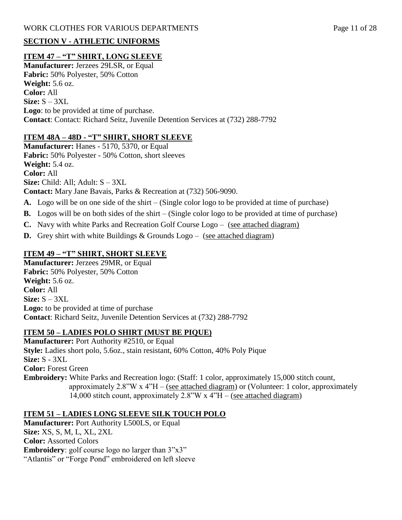# **SECTION V - ATHLETIC UNIFORMS**

# **ITEM 47 – "T" SHIRT, LONG SLEEVE**

**Manufacturer:** Jerzees 29LSR, or Equal **Fabric:** 50% Polyester, 50% Cotton **Weight:** 5.6 oz. **Color:** All **Size:** S – 3XL **Logo**: to be provided at time of purchase. **Contact**: Contact: Richard Seitz, Juvenile Detention Services at (732) 288-7792

# **ITEM 48A – 48D - "T" SHIRT, SHORT SLEEVE**

**Manufacturer:** Hanes - 5170, 5370, or Equal **Fabric:** 50% Polyester - 50% Cotton, short sleeves **Weight:** 5.4 oz. **Color:** All **Size:** Child: All; Adult: S – 3XL **Contact:** Mary Jane Bavais, Parks & Recreation at (732) 506-9090.

- **A.** Logo will be on one side of the shirt (Single color logo to be provided at time of purchase)
- **B.** Logos will be on both sides of the shirt (Single color logo to be provided at time of purchase)
- **C.** Navy with white Parks and Recreation Golf Course Logo (see attached diagram)
- **D.** Grey shirt with white Buildings & Grounds Logo (see attached diagram)

# **ITEM 49 – "T" SHIRT, SHORT SLEEVE**

**Manufacturer:** Jerzees 29MR, or Equal **Fabric:** 50% Polyester, 50% Cotton **Weight:** 5.6 oz. **Color:** All **Size:** S – 3XL **Logo:** to be provided at time of purchase **Contact**: Richard Seitz, Juvenile Detention Services at (732) 288-7792

## **ITEM 50 – LADIES POLO SHIRT (MUST BE PIQUE)**

**Manufacturer:** Port Authority #2510, or Equal **Style:** Ladies short polo, 5.6oz., stain resistant, 60% Cotton, 40% Poly Pique **Size:** S - 3XL **Color:** Forest Green **Embroidery:** White Parks and Recreation logo: (Staff: 1 color, approximately 15,000 stitch count, approximately  $2.8$ "W x  $4$ "H – (see attached diagram) or (Volunteer: 1 color, approximately 14,000 stitch count, approximately  $2.8$ "W x  $4$ "H – (see attached diagram)

# **ITEM 51 – LADIES LONG SLEEVE SILK TOUCH POLO**

**Manufacturer:** Port Authority L500LS, or Equal **Size:** XS, S, M, L, XL, 2XL **Color:** Assorted Colors **Embroidery**: golf course logo no larger than  $3"x3"$ "Atlantis" or "Forge Pond" embroidered on left sleeve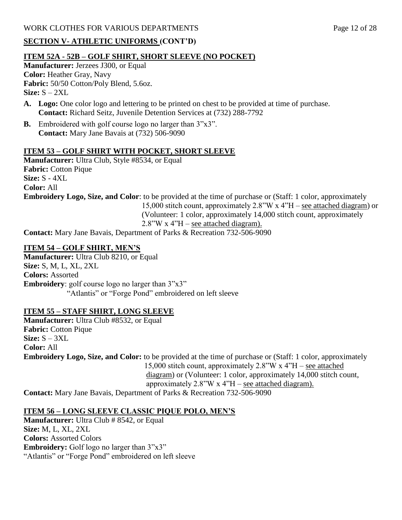WORK CLOTHES FOR VARIOUS DEPARTMENTS Page 12 of 28

## **SECTION V- ATHLETIC UNIFORMS (CONT'D)**

#### **ITEM 52A - 52B – GOLF SHIRT, SHORT SLEEVE (NO POCKET)**

**Manufacturer:** Jerzees J300, or Equal **Color:** Heather Gray, Navy **Fabric:** 50/50 Cotton/Poly Blend, 5.6oz. **Size:** S – 2XL

- **A. Logo:** One color logo and lettering to be printed on chest to be provided at time of purchase. **Contact:** Richard Seitz, Juvenile Detention Services at (732) 288-7792
- **B.** Embroidered with golf course logo no larger than 3"x3". **Contact:** Mary Jane Bavais at (732) 506-9090

#### **ITEM 53 – GOLF SHIRT WITH POCKET, SHORT SLEEVE**

**Manufacturer:** Ultra Club, Style #8534, or Equal **Fabric:** Cotton Pique **Size:** S - 4XL **Color:** All **Embroidery Logo, Size, and Color**: to be provided at the time of purchase or (Staff: 1 color, approximately 15,000 stitch count, approximately 2.8"W x 4"H – see attached diagram) or (Volunteer: 1 color, approximately 14,000 stitch count, approximately 2.8"W x 4"H – see attached diagram). **Contact:** Mary Jane Bavais, Department of Parks & Recreation 732-506-9090

#### **ITEM 54 – GOLF SHIRT, MEN'S**

**Manufacturer:** Ultra Club 8210, or Equal **Size:** S, M, L, XL, 2XL **Colors:** Assorted **Embroidery**: golf course logo no larger than  $3"x3"$ "Atlantis" or "Forge Pond" embroidered on left sleeve

#### **ITEM 55 – STAFF SHIRT, LONG SLEEVE**

**Manufacturer:** Ultra Club #8532, or Equal **Fabric:** Cotton Pique **Size:** S – 3XL **Color:** All **Embroidery Logo, Size, and Color:** to be provided at the time of purchase or (Staff: 1 color, approximately 15,000 stitch count, approximately 2.8"W x 4"H – see attached diagram) or (Volunteer: 1 color, approximately 14,000 stitch count, approximately  $2.8$ "W x  $4$ "H – see attached diagram).

**Contact:** Mary Jane Bavais, Department of Parks & Recreation 732-506-9090

#### **ITEM 56 – LONG SLEEVE CLASSIC PIQUE POLO, MEN'S**

**Manufacturer:** Ultra Club # 8542, or Equal **Size:** M, L, XL, 2XL **Colors:** Assorted Colors **Embroidery:** Golf logo no larger than  $3"x3"$ "Atlantis" or "Forge Pond" embroidered on left sleeve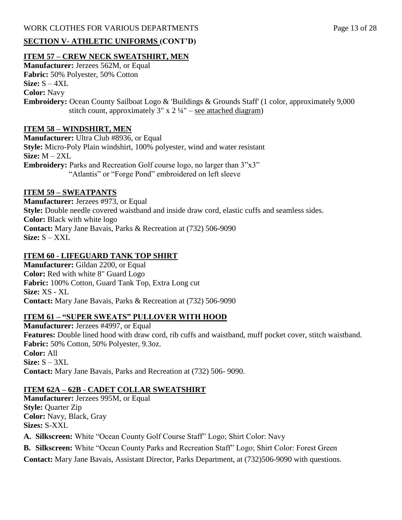#### WORK CLOTHES FOR VARIOUS DEPARTMENTS Page 13 of 28

# **SECTION V- ATHLETIC UNIFORMS (CONT'D)**

## **ITEM 57 – CREW NECK SWEATSHIRT, MEN**

**Manufacturer:** Jerzees 562M, or Equal **Fabric:** 50% Polyester, 50% Cotton **Size:** S – 4XL **Color:** Navy **Embroidery:** Ocean County Sailboat Logo & 'Buildings & Grounds Staff' (1 color, approximately 9,000 stitch count, approximately  $3'' \times 2 \frac{1}{4}$ " – see attached diagram)

## **ITEM 58 – WINDSHIRT, MEN**

**Manufacturer:** Ultra Club #8936, or Equal **Style:** Micro-Poly Plain windshirt, 100% polyester, wind and water resistant **Size:** M – 2XL **Embroidery:** Parks and Recreation Golf course logo, no larger than 3"x3" "Atlantis" or "Forge Pond" embroidered on left sleeve

## **ITEM 59 – SWEATPANTS**

**Manufacturer:** Jerzees #973, or Equal **Style:** Double needle covered waistband and inside draw cord, elastic cuffs and seamless sides. **Color:** Black with white logo **Contact:** Mary Jane Bavais, Parks & Recreation at (732) 506-9090 **Size:** S – XXL

## **ITEM 60 - LIFEGUARD TANK TOP SHIRT**

**Manufacturer:** Gildan 2200, or Equal **Color:** Red with white 8" Guard Logo **Fabric:** 100% Cotton, Guard Tank Top, Extra Long cut **Size:** XS - XL **Contact:** Mary Jane Bavais, Parks & Recreation at (732) 506-9090

## **ITEM 61 – "SUPER SWEATS" PULLOVER WITH HOOD**

**Manufacturer:** Jerzees #4997, or Equal **Features:** Double lined hood with draw cord, rib cuffs and waistband, muff pocket cover, stitch waistband. **Fabric:** 50% Cotton, 50% Polyester, 9.3oz. **Color:** All **Size:** S – 3XL **Contact:** Mary Jane Bavais, Parks and Recreation at (732) 506- 9090.

## **ITEM 62A – 62B - CADET COLLAR SWEATSHIRT**

**Manufacturer:** Jerzees 995M, or Equal **Style:** Quarter Zip **Color:** Navy, Black, Gray **Sizes:** S-XXL

**A. Silkscreen:** White "Ocean County Golf Course Staff" Logo; Shirt Color: Navy

**B. Silkscreen:** White "Ocean County Parks and Recreation Staff" Logo; Shirt Color: Forest Green

**Contact:** Mary Jane Bavais, Assistant Director, Parks Department, at (732)506-9090 with questions.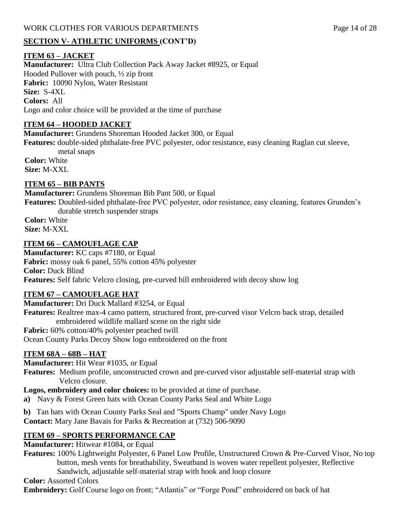## WORK CLOTHES FOR VARIOUS DEPARTMENTS Page 14 of 28

## **SECTION V- ATHLETIC UNIFORMS (CONT'D)**

#### **ITEM 63 – JACKET**

**Manufacturer:** Ultra Club Collection Pack Away Jacket #8925, or Equal Hooded Pullover with pouch, ½ zip front **Fabric:** 10090 Nylon, Water Resistant **Size:** S-4XL **Colors:** All Logo and color choice will be provided at the time of purchase

#### **ITEM 64 – HOODED JACKET**

**Manufacturer:** Grundens Shoreman Hooded Jacket 300, or Equal **Features:** double-sided phthalate-free PVC polyester, odor resistance, easy cleaning Raglan cut sleeve,

 metal snaps **Color:** White

**Size:** M-XXL

#### **ITEM 65 – BIB PANTS**

**Manufacturer:** Grundens Shoreman Bib Pant 500, or Equal

**Features:** Doubled-sided phthalate-free PVC polyester, odor resistance, easy cleaning, features Grunden's durable stretch suspender straps

**Color:** White **Size:** M-XXL

#### **ITEM 66 – CAMOUFLAGE CAP**

**Manufacturer:** KC caps #7180, or Equal **Fabric:** mossy oak 6 panel, 55% cotton 45% polyester **Color:** Duck Blind **Features:** Self fabric Velcro closing, pre-curved bill embroidered with decoy show log

#### **ITEM 67 – CAMOUFLAGE HAT**

**Manufacturer:** Dri Duck Mallard #3254, or Equal

**Features:** Realtree max-4 camo pattern, structured front, pre-curved visor Velcro back strap, detailed embroidered wildlife mallard scene on the right side

**Fabric:** 60% cotton/40% polyester peached twill

Ocean County Parks Decoy Show logo embroidered on the front

#### **ITEM 68A – 68B – HAT**

**Manufacturer:** Hit Wear #1035, or Equal

**Features:** Medium profile, unconstructed crown and pre-curved visor adjustable self-material strap with Velcro closure.

**Logos, embroidery and color choices:** to be provided at time of purchase.

**a)** Navy & Forest Green hats with Ocean County Parks Seal and White Logo

**b)** Tan hats with Ocean County Parks Seal and "Sports Champ" under Navy Logo **Contact:** Mary Jane Bavais for Parks & Recreation at (732) 506-9090

## **ITEM 69 – SPORTS PERFORMANCE CAP**

**Manufacturer:** Hitwear #1084, or Equal

**Features:** 100% Lightweight Polyester, 6 Panel Low Profile, Unstructured Crown & Pre-Curved Visor, No top button, mesh vents for breathability, Sweatband is woven water repellent polyester, Reflective Sandwich, adjustable self-material strap with hook and loop closure

**Color:** Assorted Colors

**Embroidery:** Golf Course logo on front; "Atlantis" or "Forge Pond" embroidered on back of hat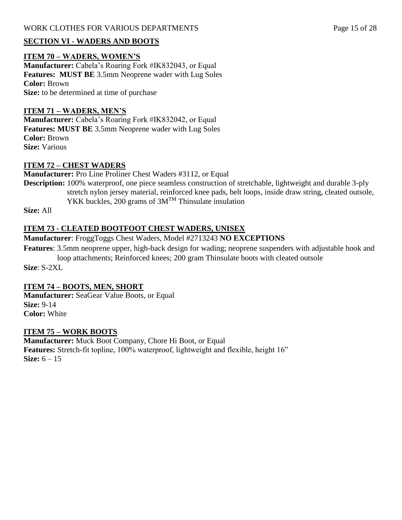## WORK CLOTHES FOR VARIOUS DEPARTMENTS Page 15 of 28

## **SECTION VI - WADERS AND BOOTS**

#### **ITEM 70 – WADERS, WOMEN'S**

**Manufacturer:** Cabela's Roaring Fork #IK832043, or Equal **Features: MUST BE** 3.5mm Neoprene wader with Lug Soles **Color:** Brown **Size:** to be determined at time of purchase

#### **ITEM 71 – WADERS, MEN'S**

**Manufacturer:** Cabela's Roaring Fork #IK832042, or Equal **Features: MUST BE** 3.5mm Neoprene wader with Lug Soles **Color:** Brown **Size:** Various

#### **ITEM 72 – CHEST WADERS**

**Manufacturer:** Pro Line Proliner Chest Waders #3112, or Equal

**Description:** 100% waterproof, one piece seamless construction of stretchable, lightweight and durable 3-ply stretch nylon jersey material, reinforced knee pads, belt loops, inside draw string, cleated outsole, YKK buckles, 200 grams of  $3M^{TM}$  Thinsulate insulation

**Size:** All

#### **ITEM 73 - CLEATED BOOTFOOT CHEST WADERS, UNISEX**

**Manufacturer**: FroggToggs Chest Waders, Model #2713243 **NO EXCEPTIONS**

**Features**: 3.5mm neoprene upper, high-back design for wading; neoprene suspenders with adjustable hook and loop attachments; Reinforced knees; 200 gram Thinsulate boots with cleated outsole

**Size**: S-2XL

#### **ITEM 74 – BOOTS, MEN, SHORT**

**Manufacturer:** SeaGear Value Boots, or Equal **Size:** 9-14 **Color:** White

#### **ITEM 75 – WORK BOOTS**

**Manufacturer:** Muck Boot Company, Chore Hi Boot, or Equal **Features:** Stretch-fit topline, 100% waterproof, lightweight and flexible, height 16" **Size:** 6 – 15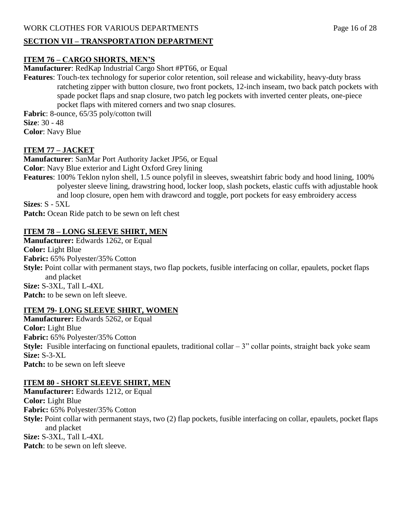WORK CLOTHES FOR VARIOUS DEPARTMENTS Page 16 of 28

#### **SECTION VII – TRANSPORTATION DEPARTMENT**

## **ITEM 76 – CARGO SHORTS, MEN'S**

**Manufacturer**: RedKap Industrial Cargo Short #PT66, or Equal

**Features**: Touch-tex technology for superior color retention, soil release and wickability, heavy-duty brass ratcheting zipper with button closure, two front pockets, 12-inch inseam, two back patch pockets with spade pocket flaps and snap closure, two patch leg pockets with inverted center pleats, one-piece pocket flaps with mitered corners and two snap closures.

**Fabric**: 8-ounce, 65/35 poly/cotton twill **Size**: 30 - 48 **Color**: Navy Blue

## **ITEM 77 – JACKET**

**Manufacturer**: SanMar Port Authority Jacket JP56, or Equal **Color**: Navy Blue exterior and Light Oxford Grey lining **Features**: 100% Teklon nylon shell, 1.5 ounce polyfil in sleeves, sweatshirt fabric body and hood lining, 100% polyester sleeve lining, drawstring hood, locker loop, slash pockets, elastic cuffs with adjustable hook and loop closure, open hem with drawcord and toggle, port pockets for easy embroidery access **Sizes**: S - 5XL **Patch:** Ocean Ride patch to be sewn on left chest

# **ITEM 78 – LONG SLEEVE SHIRT, MEN**

**Manufacturer:** Edwards 1262, or Equal **Color:** Light Blue **Fabric:** 65% Polyester/35% Cotton **Style:** Point collar with permanent stays, two flap pockets, fusible interfacing on collar, epaulets, pocket flaps and placket **Size:** S-3XL, Tall L-4XL **Patch:** to be sewn on left sleeve.

## **ITEM 79- LONG SLEEVE SHIRT, WOMEN**

**Manufacturer:** Edwards 5262, or Equal **Color:** Light Blue **Fabric:** 65% Polyester/35% Cotton **Style:** Fusible interfacing on functional epaulets, traditional collar – 3" collar points, straight back yoke seam **Size:** S-3-XL **Patch:** to be sewn on left sleeve

## **ITEM 80 - SHORT SLEEVE SHIRT, MEN**

**Manufacturer:** Edwards 1212, or Equal **Color:** Light Blue **Fabric:** 65% Polyester/35% Cotton **Style:** Point collar with permanent stays, two (2) flap pockets, fusible interfacing on collar, epaulets, pocket flaps and placket **Size:** S-3XL, Tall L-4XL **Patch:** to be sewn on left sleeve.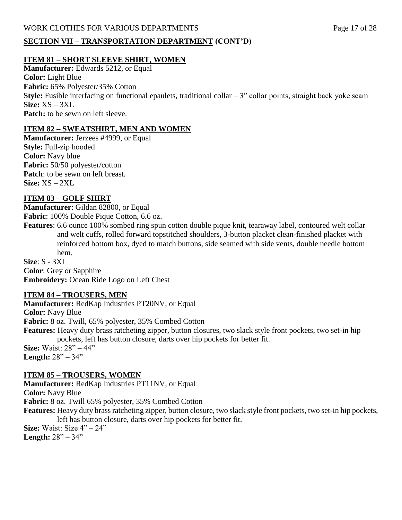#### WORK CLOTHES FOR VARIOUS DEPARTMENTS Page 17 of 28

#### **SECTION VII – TRANSPORTATION DEPARTMENT (CONT'D)**

## **ITEM 81 – SHORT SLEEVE SHIRT, WOMEN**

**Manufacturer:** Edwards 5212, or Equal **Color:** Light Blue **Fabric:** 65% Polyester/35% Cotton **Style:** Fusible interfacing on functional epaulets, traditional collar – 3" collar points, straight back yoke seam **Size:** XS – 3XL **Patch:** to be sewn on left sleeve.

#### **ITEM 82 – SWEATSHIRT, MEN AND WOMEN**

**Manufacturer:** Jerzees #4999, or Equal **Style:** Full-zip hooded **Color:** Navy blue **Fabric:** 50/50 polyester/cotton Patch: to be sewn on left breast. **Size:** XS – 2XL

#### **ITEM 83 – GOLF SHIRT**

**Manufacturer**: Gildan 82800, or Equal **Fabric**: 100% Double Pique Cotton, 6.6 oz.

**Features**: 6.6 ounce 100% sombed ring spun cotton double pique knit, tearaway label, contoured welt collar and welt cuffs, rolled forward topstitched shoulders, 3-button placket clean-finished placket with reinforced bottom box, dyed to match buttons, side seamed with side vents, double needle bottom hem.

**Size**: S - 3XL **Color**: Grey or Sapphire **Embroidery:** Ocean Ride Logo on Left Chest

#### **ITEM 84 – TROUSERS, MEN**

**Manufacturer:** RedKap Industries PT20NV, or Equal **Color:** Navy Blue **Fabric:** 8 oz. Twill, 65% polyester, 35% Combed Cotton **Features:** Heavy duty brass ratcheting zipper, button closures, two slack style front pockets, two set-in hip pockets, left has button closure, darts over hip pockets for better fit. **Size:** Waist: 28" – 44" **Length:** 28" – 34"

#### **ITEM 85 – TROUSERS, WOMEN**

**Manufacturer:** RedKap Industries PT11NV, or Equal **Color:** Navy Blue **Fabric:** 8 oz. Twill 65% polyester, 35% Combed Cotton **Features:** Heavy duty brass ratcheting zipper, button closure, two slack style front pockets, two set-in hip pockets, left has button closure, darts over hip pockets for better fit. **Size:** Waist: Size 4" – 24"

**Length:** 28" – 34"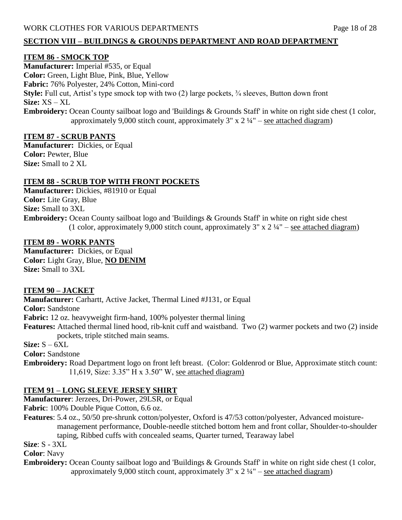#### **SECTION VIII – BUILDINGS & GROUNDS DEPARTMENT AND ROAD DEPARTMENT**

#### **ITEM 86 - SMOCK TOP**

**Manufacturer:** Imperial #535, or Equal **Color:** Green, Light Blue, Pink, Blue, Yellow **Fabric:** 76% Polyester, 24% Cotton, Mini-cord **Style:** Full cut, Artist's type smock top with two (2) large pockets, ¾ sleeves, Button down front **Size:** XS – XL **Embroidery:** Ocean County sailboat logo and 'Buildings & Grounds Staff' in white on right side chest (1 color, approximately 9,000 stitch count, approximately  $3'' \times 2 \frac{1}{4}$  – see attached diagram)

## **ITEM 87 - SCRUB PANTS**

**Manufacturer:** Dickies, or Equal **Color:** Pewter, Blue **Size:** Small to 2 XL

#### **ITEM 88 - SCRUB TOP WITH FRONT POCKETS**

**Manufacturer:** Dickies, #81910 or Equal **Color:** Lite Gray, Blue **Size:** Small to 3XL **Embroidery:** Ocean County sailboat logo and 'Buildings & Grounds Staff' in white on right side chest (1 color, approximately 9,000 stitch count, approximately  $3'' \times 2 \frac{1}{4}$  – see attached diagram)

#### **ITEM 89 - WORK PANTS**

**Manufacturer:** Dickies, or Equal **Color:** Light Gray, Blue, **NO DENIM Size:** Small to 3XL

#### **ITEM 90 – JACKET**

**Manufacturer:** Carhartt, Active Jacket, Thermal Lined #J131, or Equal **Color:** Sandstone **Fabric:** 12 oz. heavyweight firm-hand, 100% polyester thermal lining **Features:** Attached thermal lined hood, rib-knit cuff and waistband. Two (2) warmer pockets and two (2) inside pockets, triple stitched main seams.

 $Size: S - 6XL$ 

**Color:** Sandstone

**Embroidery:** Road Department logo on front left breast. (Color: Goldenrod or Blue, Approximate stitch count: 11,619, Size: 3.35" H x 3.50" W, see attached diagram)

#### **ITEM 91 – LONG SLEEVE JERSEY SHIRT**

**Manufacturer**: Jerzees, Dri-Power, 29LSR, or Equal

**Fabric**: 100% Double Pique Cotton, 6.6 oz.

**Features**: 5.4 oz., 50/50 pre-shrunk cotton/polyester, Oxford is 47/53 cotton/polyester, Advanced moisture management performance, Double-needle stitched bottom hem and front collar, Shoulder-to-shoulder taping, Ribbed cuffs with concealed seams, Quarter turned, Tearaway label

**Size**: S - 3XL

**Color**: Navy

**Embroidery:** Ocean County sailboat logo and 'Buildings & Grounds Staff' in white on right side chest (1 color, approximately 9,000 stitch count, approximately  $3''$  x  $2\frac{1}{4}$  – see attached diagram)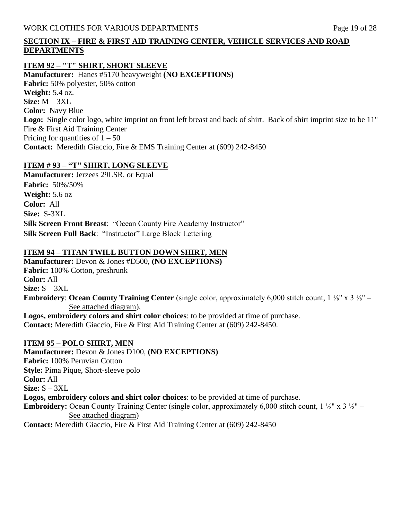## **SECTION IX – FIRE & FIRST AID TRAINING CENTER, VEHICLE SERVICES AND ROAD DEPARTMENTS**

#### **ITEM 92 – "T" SHIRT, SHORT SLEEVE**

**Manufacturer:** Hanes #5170 heavyweight **(NO EXCEPTIONS) Fabric:** 50% polyester, 50% cotton **Weight:** 5.4 oz. **Size:** M – 3XL **Color:** Navy Blue **Logo:** Single color logo, white imprint on front left breast and back of shirt. Back of shirt imprint size to be 11" Fire & First Aid Training Center Pricing for quantities of  $1 - 50$ **Contact:** Meredith Giaccio, Fire & EMS Training Center at (609) 242-8450

## **ITEM # 93 – "T" SHIRT, LONG SLEEVE**

**Manufacturer:** Jerzees 29LSR, or Equal **Fabric:** 50%/50% **Weight:** 5.6 oz **Color:** All **Size:** S-3XL **Silk Screen Front Breast**: "Ocean County Fire Academy Instructor" **Silk Screen Full Back**: "Instructor" Large Block Lettering

## **ITEM 94 – TITAN TWILL BUTTON DOWN SHIRT, MEN**

**Manufacturer:** Devon & Jones #D500, **(NO EXCEPTIONS) Fabric:** 100% Cotton, preshrunk **Color:** All **Size:** S – 3XL **Embroidery**: **Ocean County Training Center** (single color, approximately 6,000 stitch count, 1 ⅛" x 3 ⅛" – See attached diagram), **Logos, embroidery colors and shirt color choices**: to be provided at time of purchase.

**Contact:** Meredith Giaccio, Fire & First Aid Training Center at (609) 242-8450.

## **ITEM 95 – POLO SHIRT, MEN**

**Manufacturer:** Devon & Jones D100, **(NO EXCEPTIONS) Fabric:** 100% Peruvian Cotton **Style:** Pima Pique, Short-sleeve polo **Color:** All **Size:** S – 3XL **Logos, embroidery colors and shirt color choices**: to be provided at time of purchase. **Embroidery:** Ocean County Training Center (single color, approximately 6,000 stitch count, 1 ⅛" x 3 ⅛" – See attached diagram) **Contact:** Meredith Giaccio, Fire & First Aid Training Center at (609) 242-8450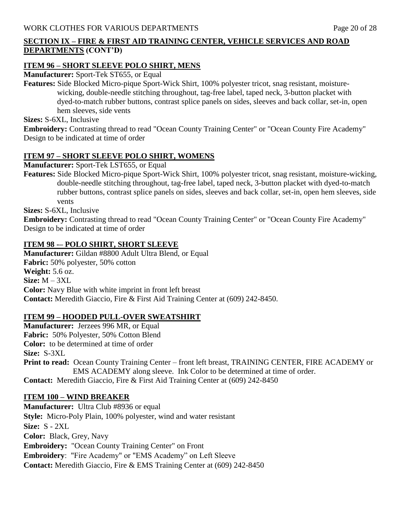## **SECTION IX – FIRE & FIRST AID TRAINING CENTER, VEHICLE SERVICES AND ROAD DEPARTMENTS (CONT'D)**

#### **ITEM 96 – SHORT SLEEVE POLO SHIRT, MENS**

**Manufacturer:** Sport-Tek ST655, or Equal

**Features:** Side Blocked Micro-pique Sport-Wick Shirt, 100% polyester tricot, snag resistant, moisture wicking, double-needle stitching throughout, tag-free label, taped neck, 3-button placket with dyed-to-match rubber buttons, contrast splice panels on sides, sleeves and back collar, set-in, open hem sleeves, side vents

**Sizes:** S-6XL, Inclusive

**Embroidery:** Contrasting thread to read "Ocean County Training Center" or "Ocean County Fire Academy" Design to be indicated at time of order

#### **ITEM 97 – SHORT SLEEVE POLO SHIRT, WOMENS**

**Manufacturer:** Sport-Tek LST655, or Equal

**Features:** Side Blocked Micro-pique Sport-Wick Shirt, 100% polyester tricot, snag resistant, moisture-wicking, double-needle stitching throughout, tag-free label, taped neck, 3-button placket with dyed-to-match rubber buttons, contrast splice panels on sides, sleeves and back collar, set-in, open hem sleeves, side vents

**Sizes:** S-6XL, Inclusive

**Embroidery:** Contrasting thread to read "Ocean County Training Center" or "Ocean County Fire Academy" Design to be indicated at time of order

#### **ITEM 98 -– POLO SHIRT, SHORT SLEEVE**

**Manufacturer:** Gildan #8800 Adult Ultra Blend, or Equal **Fabric:** 50% polyester, 50% cotton **Weight:** 5.6 oz. **Size:** M – 3XL **Color:** Navy Blue with white imprint in front left breast **Contact:** Meredith Giaccio, Fire & First Aid Training Center at (609) 242-8450.

#### **ITEM 99 – HOODED PULL-OVER SWEATSHIRT**

**Manufacturer:** Jerzees 996 MR, or Equal **Fabric:** 50% Polyester, 50% Cotton Blend **Color:** to be determined at time of order **Size:** S-3XL **Print to read:** Ocean County Training Center – front left breast, TRAINING CENTER, FIRE ACADEMY or EMS ACADEMY along sleeve. Ink Color to be determined at time of order. **Contact:** Meredith Giaccio, Fire & First Aid Training Center at (609) 242-8450

#### **ITEM 100 – WIND BREAKER**

**Manufacturer:** Ultra Club #8936 or equal **Style:** Micro-Poly Plain, 100% polyester, wind and water resistant **Size:** S - 2XL **Color:** Black, Grey, Navy **Embroidery:** "Ocean County Training Center" on Front **Embroidery**: "Fire Academy" or "EMS Academy" on Left Sleeve **Contact:** Meredith Giaccio, Fire & EMS Training Center at (609) 242-8450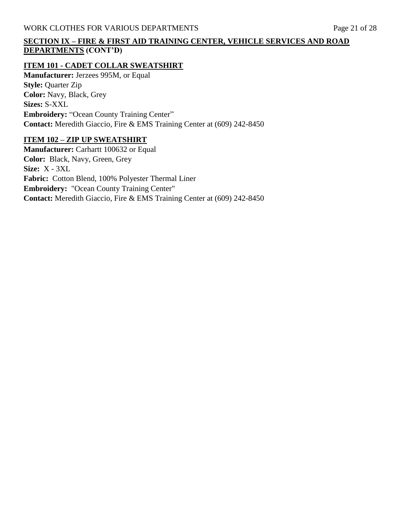## **SECTION IX – FIRE & FIRST AID TRAINING CENTER, VEHICLE SERVICES AND ROAD DEPARTMENTS (CONT'D)**

#### **ITEM 101 - CADET COLLAR SWEATSHIRT**

**Manufacturer:** Jerzees 995M, or Equal **Style:** Quarter Zip **Color:** Navy, Black, Grey **Sizes:** S-XXL **Embroidery:** "Ocean County Training Center" **Contact:** Meredith Giaccio, Fire & EMS Training Center at (609) 242-8450

#### **ITEM 102 – ZIP UP SWEATSHIRT**

**Manufacturer:** Carhartt 100632 or Equal **Color:** Black, Navy, Green, Grey **Size:** X - 3XL **Fabric:** Cotton Blend, 100% Polyester Thermal Liner **Embroidery:** "Ocean County Training Center" **Contact:** Meredith Giaccio, Fire & EMS Training Center at (609) 242-8450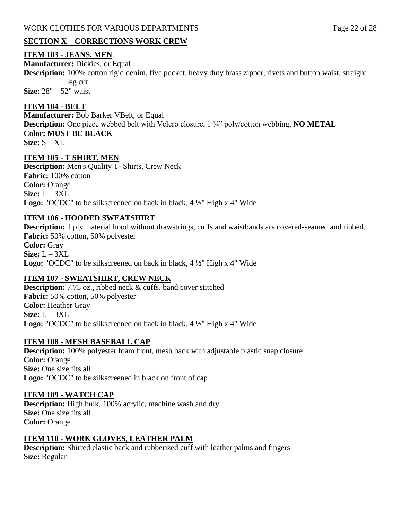## **SECTION X – CORRECTIONS WORK CREW**

#### **ITEM 103 - JEANS, MEN**

**Manufacturer:** Dickies, or Equal

**Description:** 100% cotton rigid denim, five pocket, heavy duty brass zipper, rivets and button waist, straight leg cut

**Size:** 28" – 52" waist

## **ITEM 104 - BELT**

**Manufacturer:** Bob Barker VBelt, or Equal **Description:** One piece webbed belt with Velcro closure, 1 ¼" poly/cotton webbing, **NO METAL Color: MUST BE BLACK Size:** S – XL

## **ITEM 105 - T SHIRT, MEN**

**Description:** Men's Quality T- Shirts, Crew Neck **Fabric:** 100% cotton **Color:** Orange **Size:** L – 3XL **Logo:** "OCDC" to be silkscreened on back in black, 4 ½" High x 4" Wide

## **ITEM 106 - HOODED SWEATSHIRT**

**Description:** 1 ply material hood without drawstrings, cuffs and waistbands are covered-seamed and ribbed. **Fabric:** 50% cotton, 50% polyester **Color:** Gray **Size:** L – 3XL **Logo:** "OCDC" to be silkscreened on back in black, 4 ½" High x 4" Wide

## **ITEM 107 - SWEATSHIRT, CREW NECK**

**Description:** 7.75 oz., ribbed neck & cuffs, band cover stitched **Fabric:** 50% cotton, 50% polyester **Color:** Heather Gray **Size:** L – 3XL **Logo:** "OCDC" to be silkscreened on back in black, 4 ½" High x 4" Wide

## **ITEM 108 - MESH BASEBALL CAP**

**Description:** 100% polyester foam front, mesh back with adjustable plastic snap closure **Color:** Orange **Size:** One size fits all **Logo:** "OCDC" to be silkscreened in black on front of cap

#### **ITEM 109 - WATCH CAP**

**Description:** High bulk, 100% acrylic, machine wash and dry **Size:** One size fits all **Color:** Orange

## **ITEM 110 - WORK GLOVES, LEATHER PALM**

**Description:** Shirred elastic back and rubberized cuff with leather palms and fingers **Size:** Regular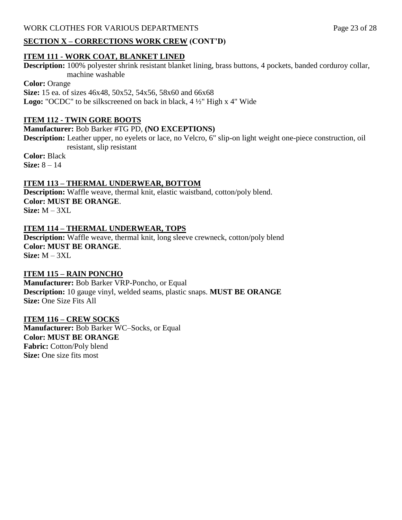#### **SECTION X – CORRECTIONS WORK CREW (CONT'D)**

#### **ITEM 111 - WORK COAT, BLANKET LINED**

**Description:** 100% polyester shrink resistant blanket lining, brass buttons, 4 pockets, banded corduroy collar, machine washable

**Color:** Orange **Size:** 15 ea. of sizes 46x48, 50x52, 54x56, 58x60 and 66x68 **Logo:** "OCDC" to be silkscreened on back in black, 4 ½" High x 4" Wide

#### **ITEM 112 - TWIN GORE BOOTS**

#### **Manufacturer:** Bob Barker #TG PD, **(NO EXCEPTIONS)**

**Description:** Leather upper, no eyelets or lace, no Velcro, 6" slip-on light weight one-piece construction, oil resistant, slip resistant

**Color:** Black **Size:** 8 – 14

#### **ITEM 113 – THERMAL UNDERWEAR, BOTTOM**

**Description:** Waffle weave, thermal knit, elastic waistband, cotton/poly blend. **Color: MUST BE ORANGE**. **Size:** M – 3XL

#### **ITEM 114 – THERMAL UNDERWEAR, TOPS**

**Description:** Waffle weave, thermal knit, long sleeve crewneck, cotton/poly blend **Color: MUST BE ORANGE**. **Size:** M – 3XL

#### **ITEM 115 – RAIN PONCHO**

**Manufacturer:** Bob Barker VRP-Poncho, or Equal **Description:** 10 gauge vinyl, welded seams, plastic snaps. **MUST BE ORANGE Size:** One Size Fits All

#### **ITEM 116 – CREW SOCKS**

**Manufacturer:** Bob Barker WC–Socks, or Equal **Color: MUST BE ORANGE Fabric:** Cotton/Poly blend **Size:** One size fits most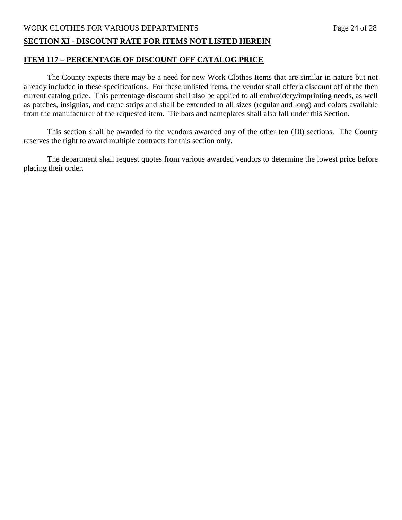# WORK CLOTHES FOR VARIOUS DEPARTMENTS Page 24 of 28

#### **SECTION XI - DISCOUNT RATE FOR ITEMS NOT LISTED HEREIN**

#### **ITEM 117 – PERCENTAGE OF DISCOUNT OFF CATALOG PRICE**

The County expects there may be a need for new Work Clothes Items that are similar in nature but not already included in these specifications. For these unlisted items, the vendor shall offer a discount off of the then current catalog price. This percentage discount shall also be applied to all embroidery/imprinting needs, as well as patches, insignias, and name strips and shall be extended to all sizes (regular and long) and colors available from the manufacturer of the requested item. Tie bars and nameplates shall also fall under this Section.

This section shall be awarded to the vendors awarded any of the other ten (10) sections. The County reserves the right to award multiple contracts for this section only.

The department shall request quotes from various awarded vendors to determine the lowest price before placing their order.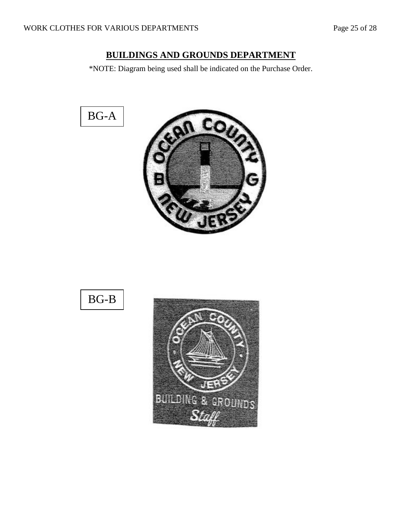# **BUILDINGS AND GROUNDS DEPARTMENT**

\*NOTE: Diagram being used shall be indicated on the Purchase Order.

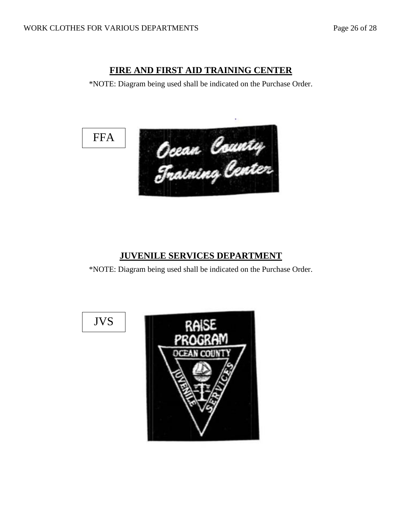# **FIRE AND FIRST AID TRAINING CENTER**

\*NOTE: Diagram being used shall be indicated on the Purchase Order.





# **JUVENILE SERVICES DEPARTMENT**

\*NOTE: Diagram being used shall be indicated on the Purchase Order.



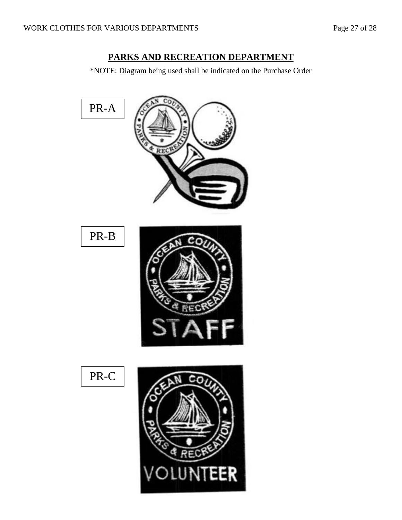# **PARKS AND RECREATION DEPARTMENT**

\*NOTE: Diagram being used shall be indicated on the Purchase Order